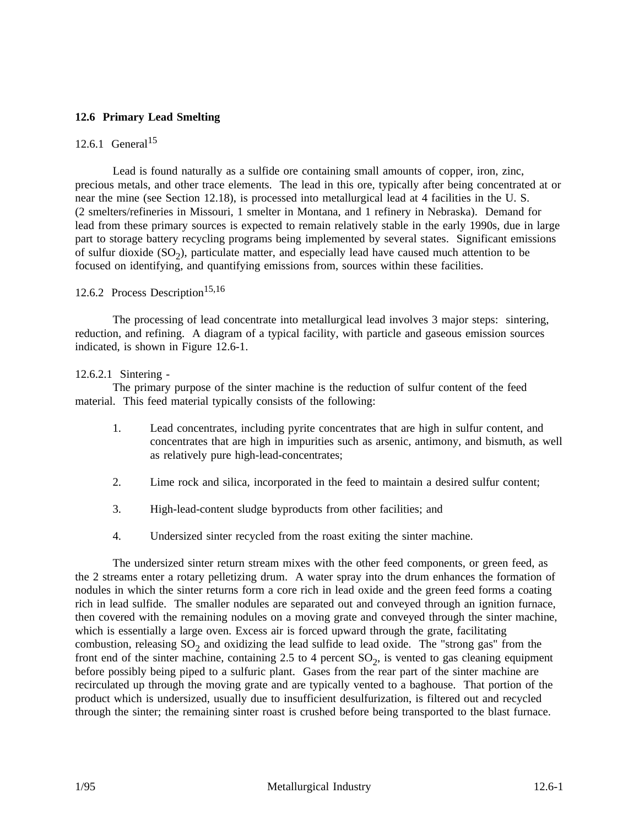### **12.6 Primary Lead Smelting**

## 12.6.1 General<sup>15</sup>

Lead is found naturally as a sulfide ore containing small amounts of copper, iron, zinc, precious metals, and other trace elements. The lead in this ore, typically after being concentrated at or near the mine (see Section 12.18), is processed into metallurgical lead at 4 facilities in the U. S. (2 smelters/refineries in Missouri, 1 smelter in Montana, and 1 refinery in Nebraska). Demand for lead from these primary sources is expected to remain relatively stable in the early 1990s, due in large part to storage battery recycling programs being implemented by several states. Significant emissions of sulfur dioxide  $(SO<sub>2</sub>)$ , particulate matter, and especially lead have caused much attention to be focused on identifying, and quantifying emissions from, sources within these facilities.

## 12.6.2 Process Description<sup>15,16</sup>

The processing of lead concentrate into metallurgical lead involves 3 major steps: sintering, reduction, and refining. A diagram of a typical facility, with particle and gaseous emission sources indicated, is shown in Figure 12.6-1.

#### 12.6.2.1 Sintering -

The primary purpose of the sinter machine is the reduction of sulfur content of the feed material. This feed material typically consists of the following:

- 1. Lead concentrates, including pyrite concentrates that are high in sulfur content, and concentrates that are high in impurities such as arsenic, antimony, and bismuth, as well as relatively pure high-lead-concentrates;
- 2. Lime rock and silica, incorporated in the feed to maintain a desired sulfur content;
- 3. High-lead-content sludge byproducts from other facilities; and
- 4. Undersized sinter recycled from the roast exiting the sinter machine.

The undersized sinter return stream mixes with the other feed components, or green feed, as the 2 streams enter a rotary pelletizing drum. A water spray into the drum enhances the formation of nodules in which the sinter returns form a core rich in lead oxide and the green feed forms a coating rich in lead sulfide. The smaller nodules are separated out and conveyed through an ignition furnace, then covered with the remaining nodules on a moving grate and conveyed through the sinter machine, which is essentially a large oven. Excess air is forced upward through the grate, facilitating combustion, releasing  $SO<sub>2</sub>$  and oxidizing the lead sulfide to lead oxide. The "strong gas" from the front end of the sinter machine, containing 2.5 to 4 percent  $SO_2$ , is vented to gas cleaning equipment before possibly being piped to a sulfuric plant. Gases from the rear part of the sinter machine are recirculated up through the moving grate and are typically vented to a baghouse. That portion of the product which is undersized, usually due to insufficient desulfurization, is filtered out and recycled through the sinter; the remaining sinter roast is crushed before being transported to the blast furnace.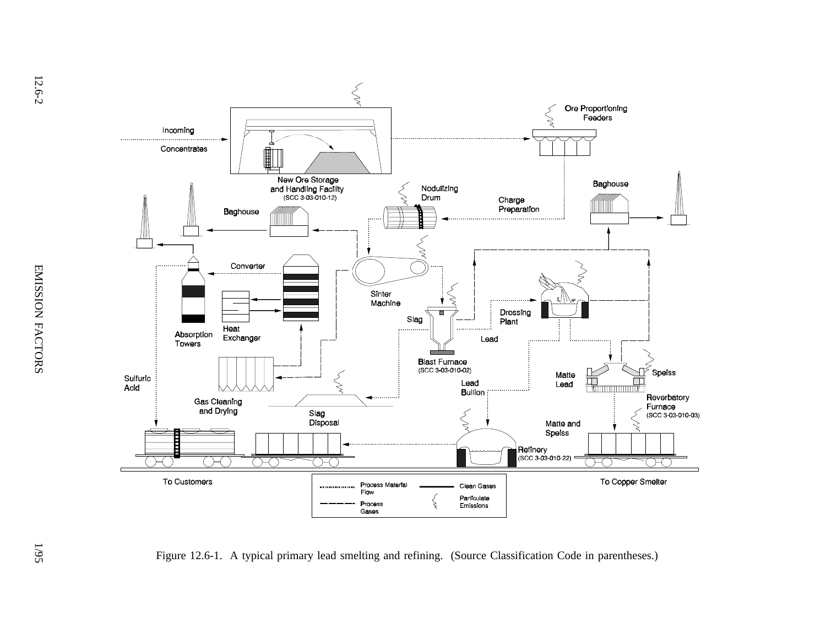

Figure 12.6-1. A typical primary lead smelting and refining. (Source Classification Code in parentheses.)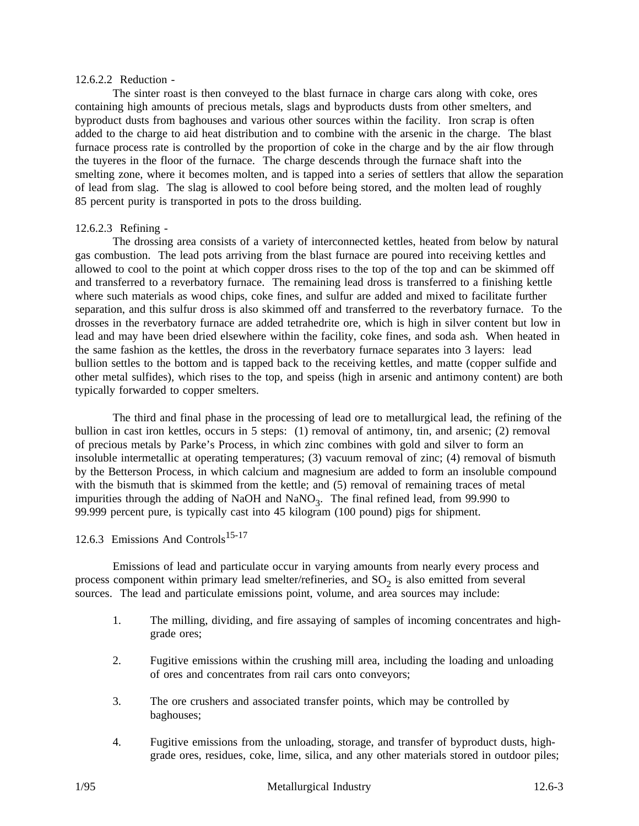#### 12.6.2.2 Reduction -

The sinter roast is then conveyed to the blast furnace in charge cars along with coke, ores containing high amounts of precious metals, slags and byproducts dusts from other smelters, and byproduct dusts from baghouses and various other sources within the facility. Iron scrap is often added to the charge to aid heat distribution and to combine with the arsenic in the charge. The blast furnace process rate is controlled by the proportion of coke in the charge and by the air flow through the tuyeres in the floor of the furnace. The charge descends through the furnace shaft into the smelting zone, where it becomes molten, and is tapped into a series of settlers that allow the separation of lead from slag. The slag is allowed to cool before being stored, and the molten lead of roughly 85 percent purity is transported in pots to the dross building.

### 12.6.2.3 Refining -

The drossing area consists of a variety of interconnected kettles, heated from below by natural gas combustion. The lead pots arriving from the blast furnace are poured into receiving kettles and allowed to cool to the point at which copper dross rises to the top of the top and can be skimmed off and transferred to a reverbatory furnace. The remaining lead dross is transferred to a finishing kettle where such materials as wood chips, coke fines, and sulfur are added and mixed to facilitate further separation, and this sulfur dross is also skimmed off and transferred to the reverbatory furnace. To the drosses in the reverbatory furnace are added tetrahedrite ore, which is high in silver content but low in lead and may have been dried elsewhere within the facility, coke fines, and soda ash. When heated in the same fashion as the kettles, the dross in the reverbatory furnace separates into 3 layers: lead bullion settles to the bottom and is tapped back to the receiving kettles, and matte (copper sulfide and other metal sulfides), which rises to the top, and speiss (high in arsenic and antimony content) are both typically forwarded to copper smelters.

The third and final phase in the processing of lead ore to metallurgical lead, the refining of the bullion in cast iron kettles, occurs in 5 steps: (1) removal of antimony, tin, and arsenic; (2) removal of precious metals by Parke's Process, in which zinc combines with gold and silver to form an insoluble intermetallic at operating temperatures; (3) vacuum removal of zinc; (4) removal of bismuth by the Betterson Process, in which calcium and magnesium are added to form an insoluble compound with the bismuth that is skimmed from the kettle; and (5) removal of remaining traces of metal impurities through the adding of NaOH and NaNO<sub>3</sub>. The final refined lead, from 99.990 to 99.999 percent pure, is typically cast into 45 kilogram (100 pound) pigs for shipment.

### 12.6.3 Emissions And Controls<sup>15-17</sup>

Emissions of lead and particulate occur in varying amounts from nearly every process and process component within primary lead smelter/refineries, and  $SO<sub>2</sub>$  is also emitted from several sources. The lead and particulate emissions point, volume, and area sources may include:

- 1. The milling, dividing, and fire assaying of samples of incoming concentrates and highgrade ores;
- 2. Fugitive emissions within the crushing mill area, including the loading and unloading of ores and concentrates from rail cars onto conveyors;
- 3. The ore crushers and associated transfer points, which may be controlled by baghouses;
- 4. Fugitive emissions from the unloading, storage, and transfer of byproduct dusts, highgrade ores, residues, coke, lime, silica, and any other materials stored in outdoor piles;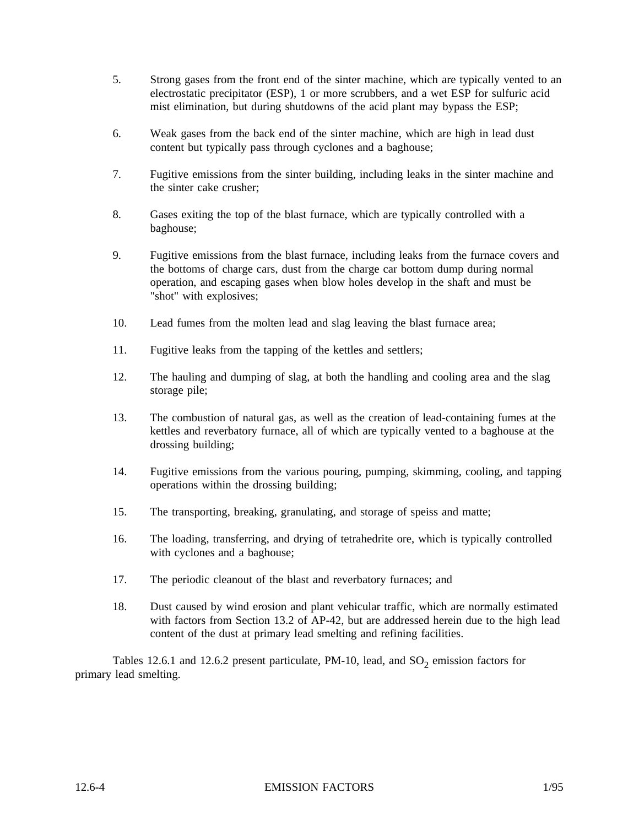- 5. Strong gases from the front end of the sinter machine, which are typically vented to an electrostatic precipitator (ESP), 1 or more scrubbers, and a wet ESP for sulfuric acid mist elimination, but during shutdowns of the acid plant may bypass the ESP;
- 6. Weak gases from the back end of the sinter machine, which are high in lead dust content but typically pass through cyclones and a baghouse;
- 7. Fugitive emissions from the sinter building, including leaks in the sinter machine and the sinter cake crusher;
- 8. Gases exiting the top of the blast furnace, which are typically controlled with a baghouse;
- 9. Fugitive emissions from the blast furnace, including leaks from the furnace covers and the bottoms of charge cars, dust from the charge car bottom dump during normal operation, and escaping gases when blow holes develop in the shaft and must be "shot" with explosives;
- 10. Lead fumes from the molten lead and slag leaving the blast furnace area;
- 11. Fugitive leaks from the tapping of the kettles and settlers;
- 12. The hauling and dumping of slag, at both the handling and cooling area and the slag storage pile;
- 13. The combustion of natural gas, as well as the creation of lead-containing fumes at the kettles and reverbatory furnace, all of which are typically vented to a baghouse at the drossing building;
- 14. Fugitive emissions from the various pouring, pumping, skimming, cooling, and tapping operations within the drossing building;
- 15. The transporting, breaking, granulating, and storage of speiss and matte;
- 16. The loading, transferring, and drying of tetrahedrite ore, which is typically controlled with cyclones and a baghouse;
- 17. The periodic cleanout of the blast and reverbatory furnaces; and
- 18. Dust caused by wind erosion and plant vehicular traffic, which are normally estimated with factors from Section 13.2 of AP-42, but are addressed herein due to the high lead content of the dust at primary lead smelting and refining facilities.

Tables 12.6.1 and 12.6.2 present particulate, PM-10, lead, and  $SO_2$  emission factors for primary lead smelting.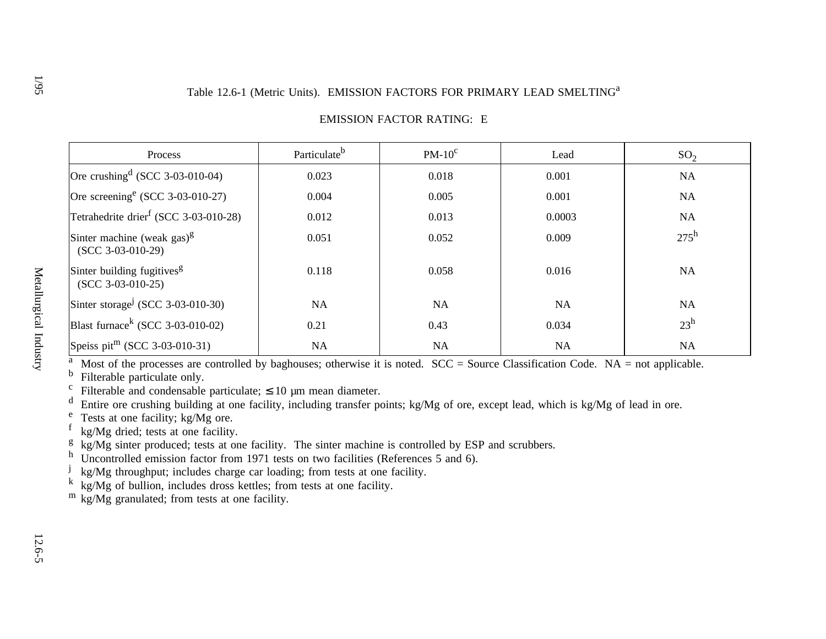# Table 12.6-1 (Metric Units). EMISSION FACTORS FOR PRIMARY LEAD SMELTING<sup>a</sup>

| Process                                                        | Particulate <sup>b</sup> | $PM-10^c$ | Lead      | SO <sub>2</sub> |
|----------------------------------------------------------------|--------------------------|-----------|-----------|-----------------|
| Ore crushing $(CCC 3-03-010-04)$                               | 0.023                    | 0.018     | 0.001     | <b>NA</b>       |
| Ore screening <sup>e</sup> (SCC 3-03-010-27)                   | 0.004                    | 0.005     | 0.001     | <b>NA</b>       |
| Tetrahedrite drier <sup>f</sup> (SCC 3-03-010-28)              | 0.012                    | 0.013     | 0.0003    | <b>NA</b>       |
| Sinter machine (weak gas) $\frac{g}{g}$<br>$(SCC 3-03-010-29)$ | 0.051                    | 0.052     | 0.009     | $275^h$         |
| Sinter building fugitives <sup>g</sup><br>$(SCC 3-03-010-25)$  | 0.118                    | 0.058     | 0.016     | <b>NA</b>       |
| Sinter storage <sup>j</sup> (SCC 3-03-010-30)                  | NA                       | <b>NA</b> | <b>NA</b> | <b>NA</b>       |
| Blast furnace <sup>k</sup> (SCC 3-03-010-02)                   | 0.21                     | 0.43      | 0.034     | $23^h$          |
| Speiss pit <sup>m</sup> (SCC 3-03-010-31)                      | <b>NA</b>                | <b>NA</b> | <b>NA</b> | NA              |

## EMISSION FACTOR RATING: E

<sup>a</sup> Most of the processes are controlled by baghouses; otherwise it is noted. SCC = Source Classification Code. NA = not applicable.  $\frac{b}{b}$ . Eitemble neutierality selves

<sup>b</sup> Filterable particulate only.

 $\mathbf c$ Filterable and condensable particulate;  $\leq 10$  µm mean diameter.

<sup>d</sup> Entire ore crushing building at one facility, including transfer points; kg/Mg of ore, except lead, which is kg/Mg of lead in ore.

<sup>e</sup> Tests at one facility; kg/Mg ore.

 $f$  kg/Mg dried; tests at one facility.

 $g_{\text{kg}}$  kg/Mg sinter produced; tests at one facility. The sinter machine is controlled by ESP and scrubbers.

<sup>h</sup> Uncontrolled emission factor from 1971 tests on two facilities (References 5 and 6).

 $j$  kg/Mg throughput; includes charge car loading; from tests at one facility.

 $k$  kg/Mg of bullion, includes dross kettles; from tests at one facility.

<sup>m</sup> kg/Mg granulated; from tests at one facility.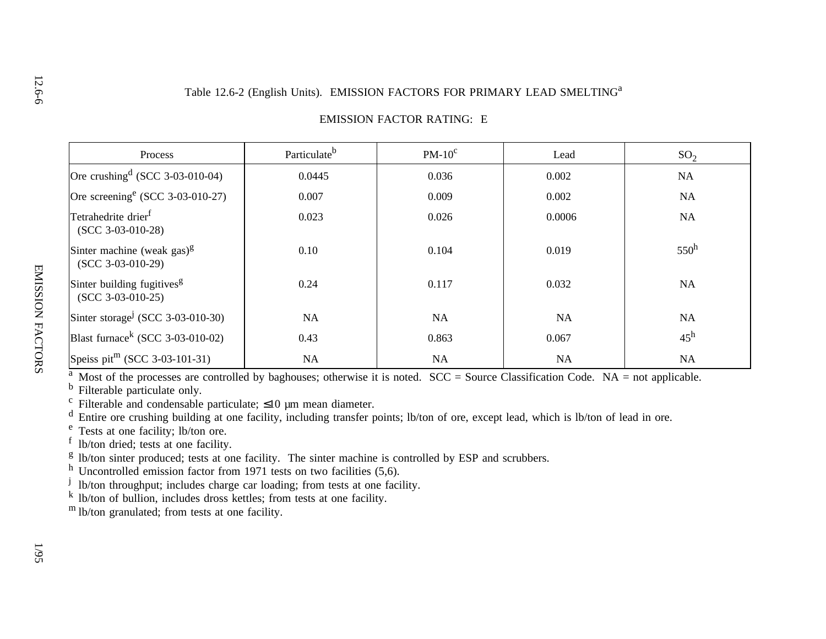# Table 12.6-2 (English Units). EMISSION FACTORS FOR PRIMARY LEAD SMELTING<sup>a</sup>

| Process                                                        | Particulate <sup>b</sup> | $PM-10^{\circ}$ | Lead      | SO <sub>2</sub> |
|----------------------------------------------------------------|--------------------------|-----------------|-----------|-----------------|
| Ore crushing $(SCC 3-03-010-04)$                               | 0.0445                   | 0.036           | 0.002     | NA              |
| Ore screening <sup>e</sup> (SCC 3-03-010-27)                   | 0.007                    | 0.009           | 0.002     | <b>NA</b>       |
| Tetrahedrite drier <sup>f</sup><br>$(SCC 3-03-010-28)$         | 0.023                    | 0.026           | 0.0006    | NA              |
| Sinter machine (weak gas) $\frac{g}{g}$<br>$(SCC 3-03-010-29)$ | 0.10                     | 0.104           | 0.019     | $550^h$         |
| Sinter building fugitives <sup>g</sup><br>$(SCC 3-03-010-25)$  | 0.24                     | 0.117           | 0.032     | <b>NA</b>       |
| Sinter storage <sup>j</sup> (SCC 3-03-010-30)                  | <b>NA</b>                | <b>NA</b>       | <b>NA</b> | NA              |
| Blast furnace <sup>k</sup> (SCC 3-03-010-02)                   | 0.43                     | 0.863           | 0.067     | $45^{\rm h}$    |
| Speiss pit <sup>m</sup> (SCC 3-03-101-31)                      | NA                       | NA              | <b>NA</b> | <b>NA</b>       |

#### EMISSION FACTOR RATING: E

<sup>a</sup> Most of the processes are controlled by baghouses; otherwise it is noted.  $SCC = Source Classification Code$ . NA = not applicable.

<sup>b</sup> Filterable particulate only.

<sup>c</sup> Filterable and condensable particulate;  $\leq 10$  µm mean diameter.

 $\alpha$  Entire ore crushing building at one facility, including transfer points; lb/ton of ore, except lead, which is lb/ton of lead in ore.

<sup>e</sup> Tests at one facility; lb/ton ore.

 $\frac{1}{1}$  lb/ton dried; tests at one facility.

 $g$  lb/ton sinter produced; tests at one facility. The sinter machine is controlled by ESP and scrubbers.

 $h$  Uncontrolled emission factor from 1971 tests on two facilities (5,6).

<sup>j</sup> lb/ton throughput; includes charge car loading; from tests at one facility.

 $\overline{k}$  lb/ton of bullion, includes dross kettles; from tests at one facility.

m lb/ton granulated; from tests at one facility.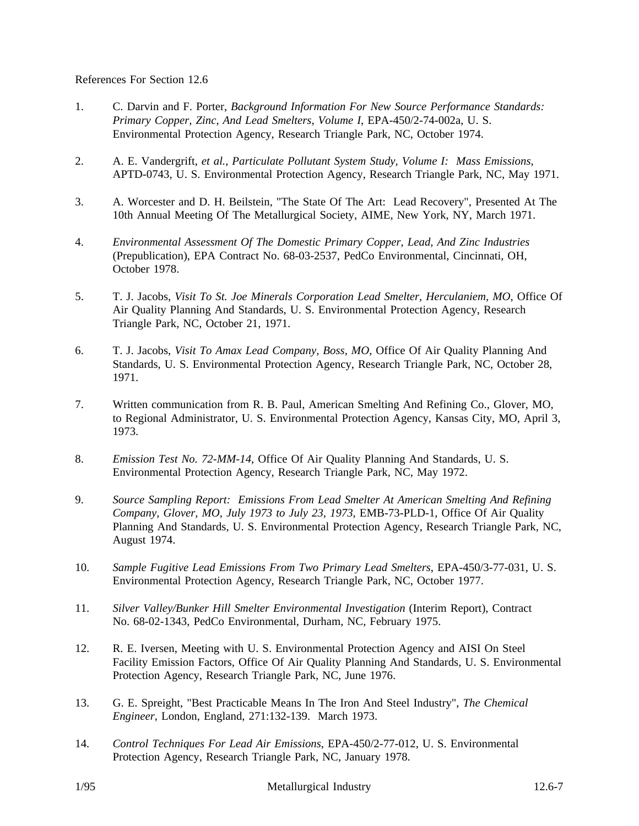References For Section 12.6

- 1. C. Darvin and F. Porter, *Background Information For New Source Performance Standards: Primary Copper, Zinc, And Lead Smelters*, *Volume I*, EPA-450/2-74-002a, U. S. Environmental Protection Agency, Research Triangle Park, NC, October 1974.
- 2. A. E. Vandergrift, *et al.*, *Particulate Pollutant System Study, Volume I: Mass Emissions*, APTD-0743, U. S. Environmental Protection Agency, Research Triangle Park, NC, May 1971.
- 3. A. Worcester and D. H. Beilstein, "The State Of The Art: Lead Recovery", Presented At The 10th Annual Meeting Of The Metallurgical Society, AIME, New York, NY, March 1971.
- 4. *Environmental Assessment Of The Domestic Primary Copper, Lead, And Zinc Industries* (Prepublication), EPA Contract No. 68-03-2537, PedCo Environmental, Cincinnati, OH, October 1978.
- 5. T. J. Jacobs, *Visit To St. Joe Minerals Corporation Lead Smelter, Herculaniem, MO*, Office Of Air Quality Planning And Standards, U. S. Environmental Protection Agency, Research Triangle Park, NC, October 21, 1971.
- 6. T. J. Jacobs, *Visit To Amax Lead Company, Boss, MO*, Office Of Air Quality Planning And Standards, U. S. Environmental Protection Agency, Research Triangle Park, NC, October 28, 1971.
- 7. Written communication from R. B. Paul, American Smelting And Refining Co., Glover, MO, to Regional Administrator, U. S. Environmental Protection Agency, Kansas City, MO, April 3, 1973.
- 8. *Emission Test No. 72-MM-14*, Office Of Air Quality Planning And Standards, U. S. Environmental Protection Agency, Research Triangle Park, NC, May 1972.
- 9. *Source Sampling Report: Emissions From Lead Smelter At American Smelting And Refining Company, Glover, MO, July 1973 to July 23, 1973*, EMB-73-PLD-1, Office Of Air Quality Planning And Standards, U. S. Environmental Protection Agency, Research Triangle Park, NC, August 1974.
- 10. *Sample Fugitive Lead Emissions From Two Primary Lead Smelters*, EPA-450/3-77-031, U. S. Environmental Protection Agency, Research Triangle Park, NC, October 1977.
- 11. *Silver Valley/Bunker Hill Smelter Environmental Investigation* (Interim Report), Contract No. 68-02-1343, PedCo Environmental, Durham, NC, February 1975.
- 12. R. E. Iversen, Meeting with U. S. Environmental Protection Agency and AISI On Steel Facility Emission Factors, Office Of Air Quality Planning And Standards, U. S. Environmental Protection Agency, Research Triangle Park, NC, June 1976.
- 13. G. E. Spreight, "Best Practicable Means In The Iron And Steel Industry", *The Chemical Engineer*, London, England, 271:132-139. March 1973.
- 14. *Control Techniques For Lead Air Emissions*, EPA-450/2-77-012, U. S. Environmental Protection Agency, Research Triangle Park, NC, January 1978.